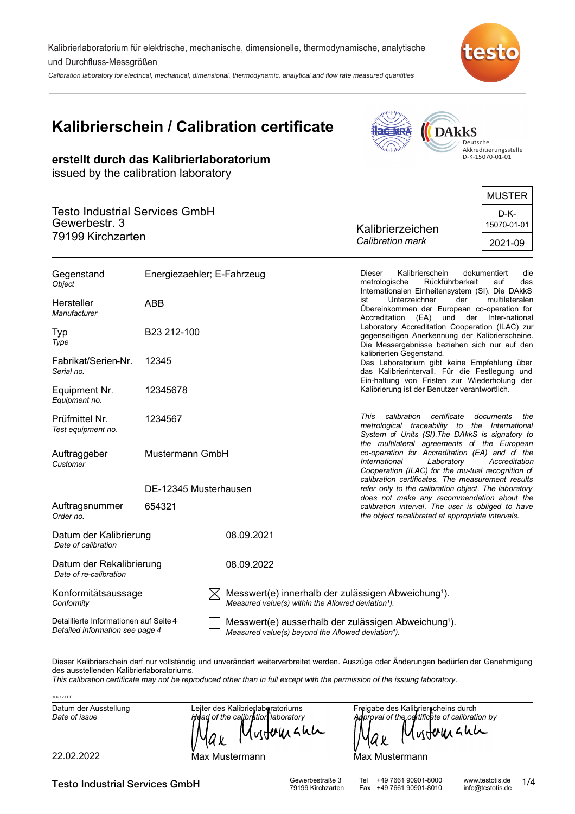Kalibrierlaboratorium für elektrische, mechanische, dimensionelle, thermodynamische, analytische und Durchfluss-Messgrößen

Calibration laboratory for electrical, mechanical, dimensional, thermodynamic, analytical and flow rate measured quantities



# **Kalibrierschein / Calibration certificate**

**erstellt durch das Kalibrierlaboratorium**

issued by the calibration laboratory



Deutsche<br>Akkreditierungsstelle<br>D-K-15070-01-01

|                                                        |                  | MUSTER              |
|--------------------------------------------------------|------------------|---------------------|
| <b>Testo Industrial Services GmbH</b><br>Gewerbestr. 3 | Kalibrierzeichen | D-K-<br>15070-01-01 |
| 79199 Kirchzarten                                      | Calibration mark | 2021-09             |

| Gegenstand<br>Object                                                      | Energiezaehler; E-Fahrzeug |                                                                                                                                              | Kalibrierschein<br><b>Dieser</b><br>dokumentiert<br>die<br>metrologische<br>Rückführbarkeit<br>auf<br>das<br>Internationalen Einheitensystem (SI). Die DAkkS                                       |
|---------------------------------------------------------------------------|----------------------------|----------------------------------------------------------------------------------------------------------------------------------------------|----------------------------------------------------------------------------------------------------------------------------------------------------------------------------------------------------|
| Hersteller<br>Manufacturer                                                | <b>ABB</b>                 |                                                                                                                                              | ist<br>Unterzeichner<br>der<br>multilateralen<br>Übereinkommen der European co-operation for<br>Accreditation<br>(EA) und der Inter-national                                                       |
| Typ<br>Type                                                               | B23 212-100                |                                                                                                                                              | Laboratory Accreditation Cooperation (ILAC) zur<br>gegenseitigen Anerkennung der Kalibrierscheine.<br>Die Messergebnisse beziehen sich nur auf den                                                 |
| Fabrikat/Serien-Nr.<br>Serial no.                                         | 12345                      |                                                                                                                                              | kalibrierten Gegenstand.<br>Das Laboratorium gibt keine Empfehlung über<br>das Kalibrierintervall. Für die Festlegung und<br>Ein-haltung von Fristen zur Wiederholung der                          |
| Equipment Nr.<br>Equipment no.                                            | 12345678                   |                                                                                                                                              | Kalibrierung ist der Benutzer verantwortlich.                                                                                                                                                      |
| Prüfmittel Nr.<br>Test equipment no.                                      | 1234567                    |                                                                                                                                              | calibration<br>certificate<br>This<br>documents<br>the<br>metrological traceability to the International<br>System of Units (SI). The DAkkS is signatory to                                        |
| Auftraggeber<br>Customer                                                  | Mustermann GmbH            |                                                                                                                                              | the multilateral agreements of the European<br>co-operation for Accreditation (EA) and of the<br>International<br>Laboratory<br>Accreditation<br>Cooperation (ILAC) for the mu-tual recognition of |
|                                                                           | DE-12345 Musterhausen      |                                                                                                                                              | calibration certificates. The measurement results<br>refer only to the calibration object. The laboratory                                                                                          |
| Auftragsnummer<br>Order no.                                               | 654321                     |                                                                                                                                              | does not make any recommendation about the<br>calibration interval. The user is obliged to have<br>the object recalibrated at appropriate intervals.                                               |
| Datum der Kalibrierung<br>Date of calibration                             |                            | 08.09.2021                                                                                                                                   |                                                                                                                                                                                                    |
| Datum der Rekalibrierung<br>Date of re-calibration                        |                            | 08.09.2022                                                                                                                                   |                                                                                                                                                                                                    |
| Konformitätsaussage<br>Conformity                                         |                            | $ \times $ Messwert(e) innerhalb der zulässigen Abweichung <sup>1</sup> ).<br>Measured value(s) within the Allowed deviation <sup>1</sup> ). |                                                                                                                                                                                                    |
| Detaillierte Informationen auf Seite 4<br>Detailed information see page 4 |                            | Messwert(e) ausserhalb der zulässigen Abweichung <sup>1</sup> ).<br>Measured value(s) beyond the Allowed deviation <sup>1</sup> ).           |                                                                                                                                                                                                    |

Dieser Kalibrierschein darf nur vollständig und unverändert weiterverbreitet werden. Auszüge oder Änderungen bedürfen der Genehmigung des ausstellenden Kalibrierlaboratoriums.

*This calibration certificate may not be reproduced other than in full except with the permission of the issuing laboratory.*

| V 6.12 / DE                            |                                                         |                                                                                      |
|----------------------------------------|---------------------------------------------------------|--------------------------------------------------------------------------------------|
| Datum der Ausstellung<br>Date of issue | Leiter des Kalibrierlaboratoriums                       | Freigabe des Kalibrierscheins durch<br>Adproval of the certificate of calibration by |
|                                        | Head of the calibration laboratory<br>Mustomann<br>'Max | Mustermann                                                                           |
| 22.02.2022                             | Max Mustermann                                          | Max Mustermann                                                                       |

Testo Industrial Services GmbH Gewerbestraße 3 Tel +49 7661 90901-8000 www.testotis.de<br>
79199 Kirchzarten Fax +49 7661 90901-8010 info@testotis.de

Fax +49 7661 90901-8010

1/4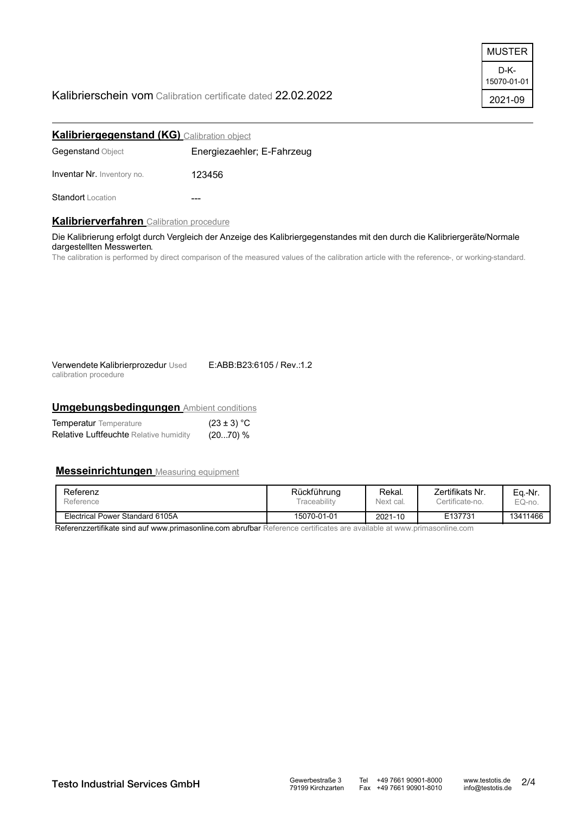## Kalibrierschein vom Calibration certificate dated 22.02.2022



| <b>Kalibriergegenstand (KG)</b> Calibration object |                            |
|----------------------------------------------------|----------------------------|
| <b>Gegenstand Object</b>                           | Energiezaehler; E-Fahrzeug |
| <b>Inventar Nr. Inventory no.</b>                  | 123456                     |
| <b>Standort</b> Location                           |                            |

## **Kalibrierverfahren** Calibration procedure

Die Kalibrierung erfolgt durch Vergleich der Anzeige des Kalibriergegenstandes mit den durch die Kalibriergeräte/Normale dargestellten Messwerten.

The calibration is performed by direct comparison of the measured values of the calibration article with the reference-, or working-standard.

| Verwendete Kalibrierprozedur Used | E:ABB:B23:6105 / Rev.:1.2 |  |  |
|-----------------------------------|---------------------------|--|--|
| calibration procedure             |                           |  |  |

## **Umgebungsbedingungen** Ambient conditions

| <b>Temperatur</b> Temperature                 | $(23 \pm 3) °C$ |
|-----------------------------------------------|-----------------|
| <b>Relative Luftfeuchte Relative humidity</b> | (20…70) %       |

## **Messeinrichtungen** Measuring equipment

| Referenz                        | Rückführung | Rekal.    | Zertifikats Nr. | Ea.-Nr.  |
|---------------------------------|-------------|-----------|-----------------|----------|
| Reference                       | raceability | Next cal. | Certificate-no. | EQ-no.   |
| Electrical Power Standard 6105A | 15070-01-01 | 2021-10   | E137731         | 13411466 |

Referenzzertifikate sind auf www.primasonline.com abrufbar Reference certificates are available at www.primasonline.com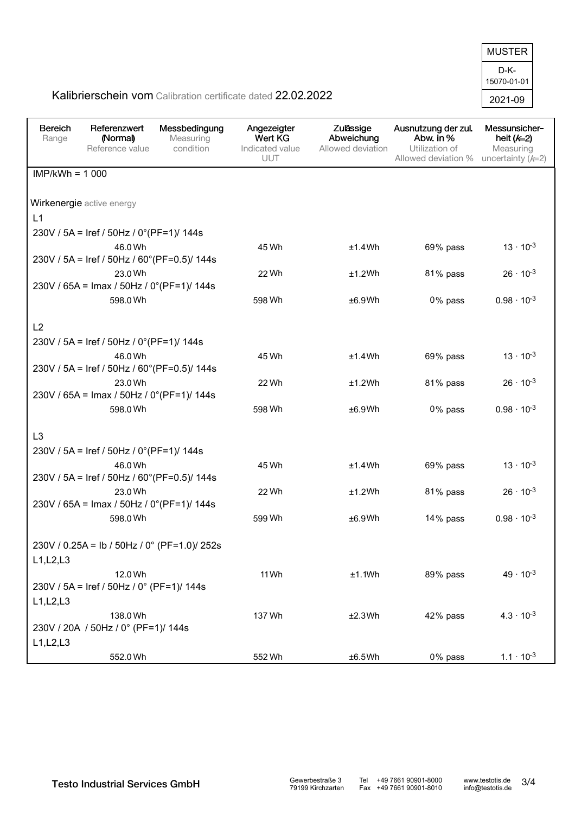D-K-2021-09 15070-01-01 MUSTER

## Kalibrierschein vom Calibration certificate dated 22.02.2022

| <b>Bereich</b><br>Range | Referenzwert<br>(Normal)<br>Reference value          | Messbedingung<br>Measuring<br>condition | Angezeigter<br>Wert KG<br>Indicated value<br>UUT | Zulässige<br>Abweichung<br>Allowed deviation | Ausnutzung der zul.<br>Abw. in %<br>Utilization of<br>Allowed deviation % | Messunsicher-<br>heit $(k=2)$<br>Measuring<br>uncertainty $(k=2)$ |
|-------------------------|------------------------------------------------------|-----------------------------------------|--------------------------------------------------|----------------------------------------------|---------------------------------------------------------------------------|-------------------------------------------------------------------|
| $IMP/kWh = 1000$        |                                                      |                                         |                                                  |                                              |                                                                           |                                                                   |
|                         | Wirkenergie active energy                            |                                         |                                                  |                                              |                                                                           |                                                                   |
| L1                      |                                                      |                                         |                                                  |                                              |                                                                           |                                                                   |
|                         | 230V / 5A = Iref / 50Hz / 0°(PF=1)/ 144s             |                                         |                                                  |                                              |                                                                           |                                                                   |
|                         | 46.0 Wh                                              |                                         | 45 Wh                                            | ±1.4Wh                                       | 69% pass                                                                  | $13 \cdot 10^{-3}$                                                |
|                         | 230V / 5A = Iref / 50Hz / 60° (PF=0.5)/ 144s         |                                         |                                                  |                                              |                                                                           |                                                                   |
|                         | 23.0 Wh                                              |                                         | 22 Wh                                            | ±1.2Wh                                       | 81% pass                                                                  | $26 \cdot 10^{-3}$                                                |
|                         | 230V / 65A = Imax / 50Hz / 0°(PF=1)/ 144s            |                                         |                                                  |                                              |                                                                           |                                                                   |
|                         | 598.0 Wh                                             |                                         | 598 Wh                                           | ±6.9Wh                                       | 0% pass                                                                   | $0.98 \cdot 10^{-3}$                                              |
|                         |                                                      |                                         |                                                  |                                              |                                                                           |                                                                   |
| L2                      |                                                      |                                         |                                                  |                                              |                                                                           |                                                                   |
|                         | 230V / 5A = Iref / 50Hz / 0°(PF=1)/ 144s             |                                         |                                                  |                                              |                                                                           |                                                                   |
|                         | 46.0 Wh                                              |                                         | 45 Wh                                            | ±1.4Wh                                       | 69% pass                                                                  | $13 \cdot 10^{-3}$                                                |
|                         | 230V / 5A = Iref / 50Hz / 60° (PF=0.5)/ 144s         |                                         |                                                  |                                              |                                                                           |                                                                   |
|                         | 23.0 Wh<br>230V / 65A = Imax / 50Hz / 0°(PF=1)/ 144s |                                         | 22 Wh                                            | ±1.2Wh                                       | 81% pass                                                                  | $26 \cdot 10^{-3}$                                                |
|                         | 598.0 Wh                                             |                                         | 598 Wh                                           | ±6.9Wh                                       | 0% pass                                                                   | $0.98 \cdot 10^{-3}$                                              |
|                         |                                                      |                                         |                                                  |                                              |                                                                           |                                                                   |
| L <sub>3</sub>          |                                                      |                                         |                                                  |                                              |                                                                           |                                                                   |
|                         | 230V / 5A = Iref / 50Hz / 0°(PF=1)/ 144s             |                                         |                                                  |                                              |                                                                           |                                                                   |
|                         | 46.0 Wh                                              |                                         | 45 Wh                                            | ±1.4Wh                                       | 69% pass                                                                  | $13 \cdot 10^{-3}$                                                |
|                         | 230V / 5A = Iref / 50Hz / 60° (PF=0.5)/ 144s         |                                         |                                                  |                                              |                                                                           |                                                                   |
|                         | 23.0 Wh                                              |                                         | 22 Wh                                            | ±1.2Wh                                       | 81% pass                                                                  | $26 \cdot 10^{-3}$                                                |
|                         | 230V / 65A = Imax / 50Hz / 0°(PF=1)/ 144s            |                                         |                                                  |                                              |                                                                           |                                                                   |
|                         | 598.0 Wh                                             |                                         | 599 Wh                                           | ±6.9Wh                                       | 14% pass                                                                  | $0.98 \cdot 10^{-3}$                                              |
|                         | 230V / 0.25A = lb / 50Hz / 0° (PF=1.0)/ 252s         |                                         |                                                  |                                              |                                                                           |                                                                   |
| L1, L2, L3              |                                                      |                                         |                                                  |                                              |                                                                           |                                                                   |
|                         | 12.0 Wh                                              |                                         | 11 Wh                                            | ±1.1Wh                                       | 89% pass                                                                  | $49 \cdot 10^{-3}$                                                |
|                         | 230V / 5A = Iref / 50Hz / 0° (PF=1)/ 144s            |                                         |                                                  |                                              |                                                                           |                                                                   |
| L1, L2, L3              |                                                      |                                         |                                                  |                                              |                                                                           |                                                                   |
|                         | 138.0 Wh                                             |                                         | 137 Wh                                           | ±2.3Wh                                       | 42% pass                                                                  | $4.3 \cdot 10^{-3}$                                               |
|                         | 230V / 20A / 50Hz / 0° (PF=1)/ 144s                  |                                         |                                                  |                                              |                                                                           |                                                                   |
| L1, L2, L3              |                                                      |                                         |                                                  |                                              |                                                                           |                                                                   |
|                         | 552.0 Wh                                             |                                         | 552 Wh                                           | ±6.5Wh                                       | 0% pass                                                                   | $1.1 \cdot 10^{-3}$                                               |